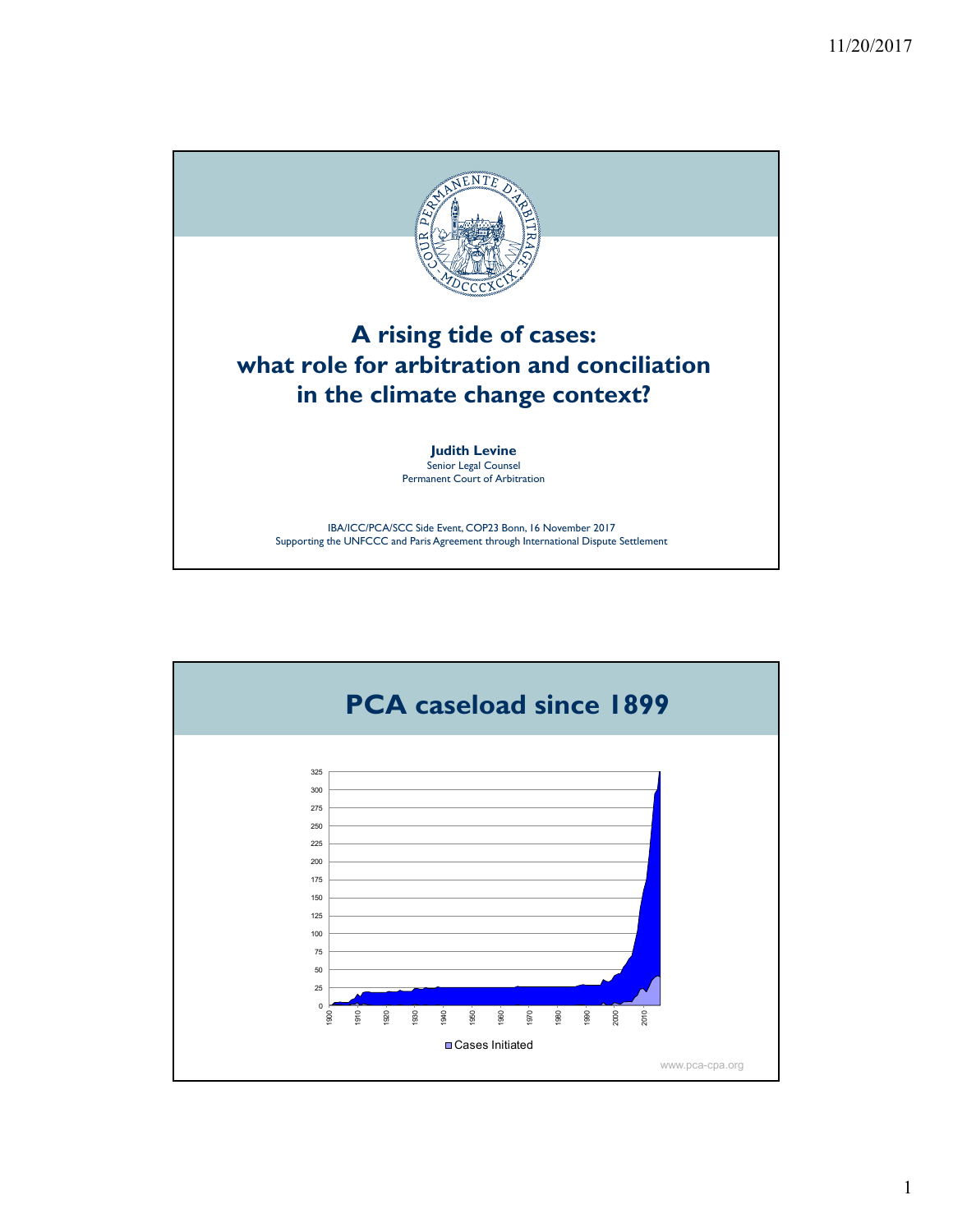

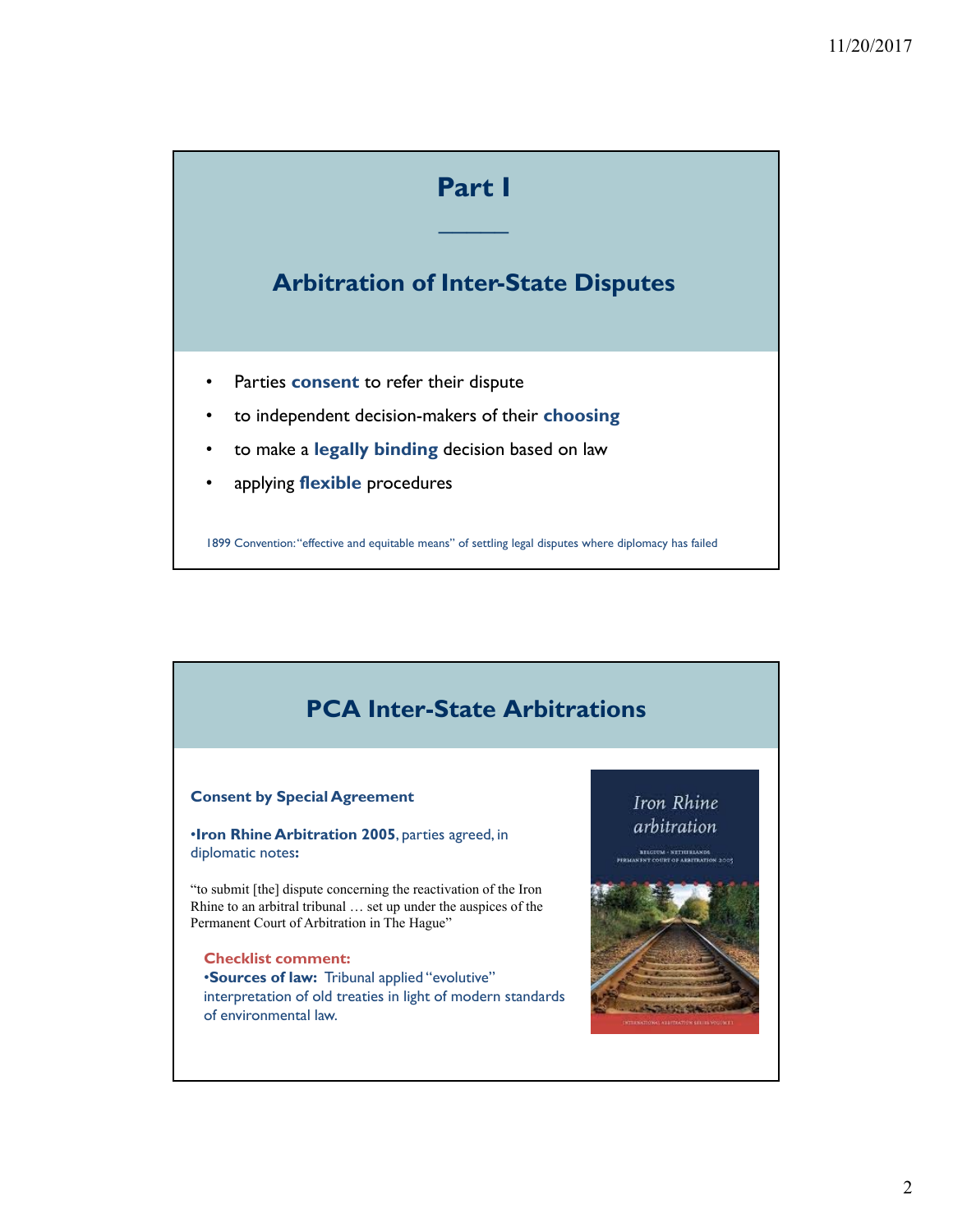# **Part I**

**\_\_\_\_\_**

## **Arbitration of Inter-State Disputes**

- Parties **consent** to refer their dispute
- to independent decision-makers of their **choosing**
- to make a **legally binding** decision based on law
- applying **flexible** procedures

where the contract of the contract of the contract of the contract of the contract of the contract of the contract of the contract of the contract of the contract of the contract of the contract of the contract of the cont 1899 Convention: "effective and equitable means" of settling legal disputes where diplomacy has failed

## **PCA Inter-State Arbitrations**

#### **Consent by Special Agreement**

•**Iron Rhine Arbitration 2005**, parties agreed, in diplomatic notes**:**

"to submit [the] dispute concerning the reactivation of the Iron Rhine to an arbitral tribunal … set up under the auspices of the Permanent Court of Arbitration in The Hague"

**Checklist comment:** •**Sources of law:** Tribunal applied "evolutive" interpretation of old treaties in light of modern standards of environmental law.

### Iron Rhine arbitration

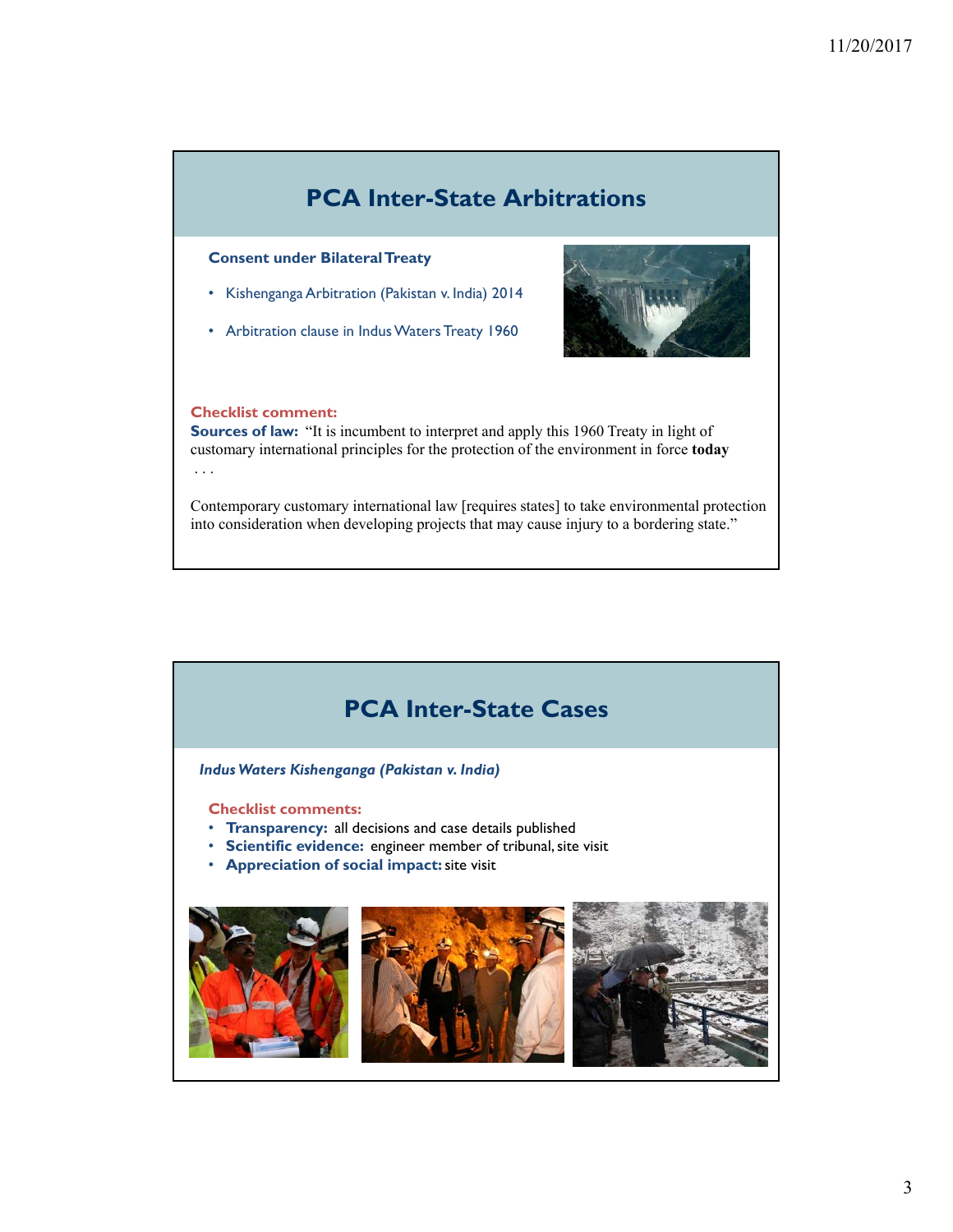## **PCA Inter-State Arbitrations**

#### **Consent under Bilateral Treaty**

- Kishenganga Arbitration (Pakistan v. India) 2014
- Arbitration clause in Indus Waters Treaty 1960



#### **Checklist comment:**

**Sources of law:** "It is incumbent to interpret and apply this 1960 Treaty in light of customary international principles for the protection of the environment in force **today** . . .

Contemporary customary international law [requires states] to take environmental protection into consideration when developing projects that may cause injury to a bordering state."



*Indus Waters Kishenganga (Pakistan v. India)*

**Checklist comments:**

- **Transparency:** all decisions and case details published
- **Scientific evidence:** engineer member of tribunal, site visit
- **Appreciation of social impact:** site visit

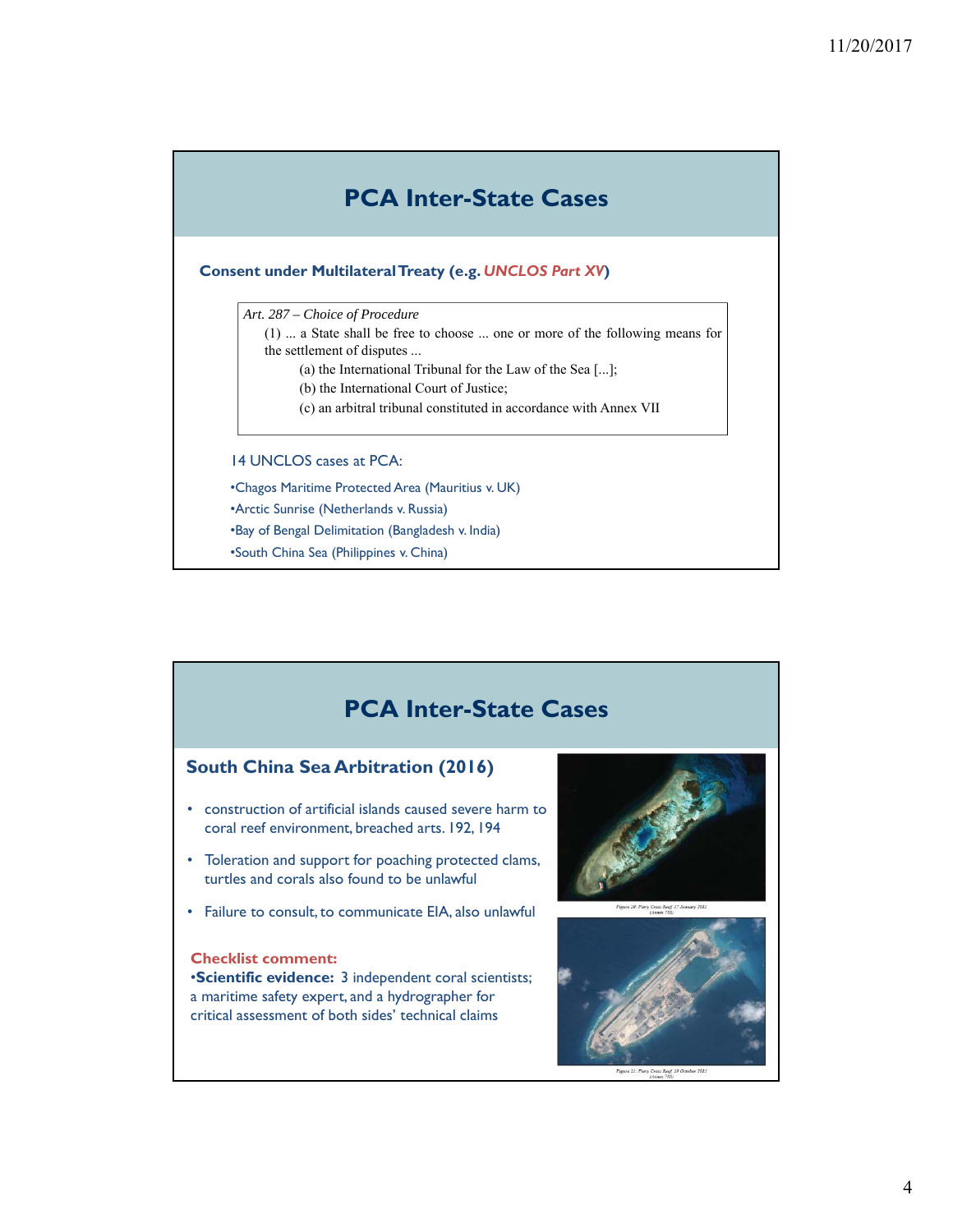## **PCA Inter-State Cases**

#### **Consent under Multilateral Treaty (e.g.** *UNCLOS Part XV***)**

*Art. 287 – Choice of Procedure*

(1) ... a State shall be free to choose ... one or more of the following means for the settlement of disputes ...

(a) the International Tribunal for the Law of the Sea [...];

- (b) the International Court of Justice;
- (c) an arbitral tribunal constituted in accordance with Annex VII

#### 14 UNCLOS cases at PCA:

•Chagos Maritime Protected Area (Mauritius v. UK) •Arctic Sunrise (Netherlands v. Russia)

•Bay of Bengal Delimitation (Bangladesh v. India)

•South China Sea (Philippines v. China)

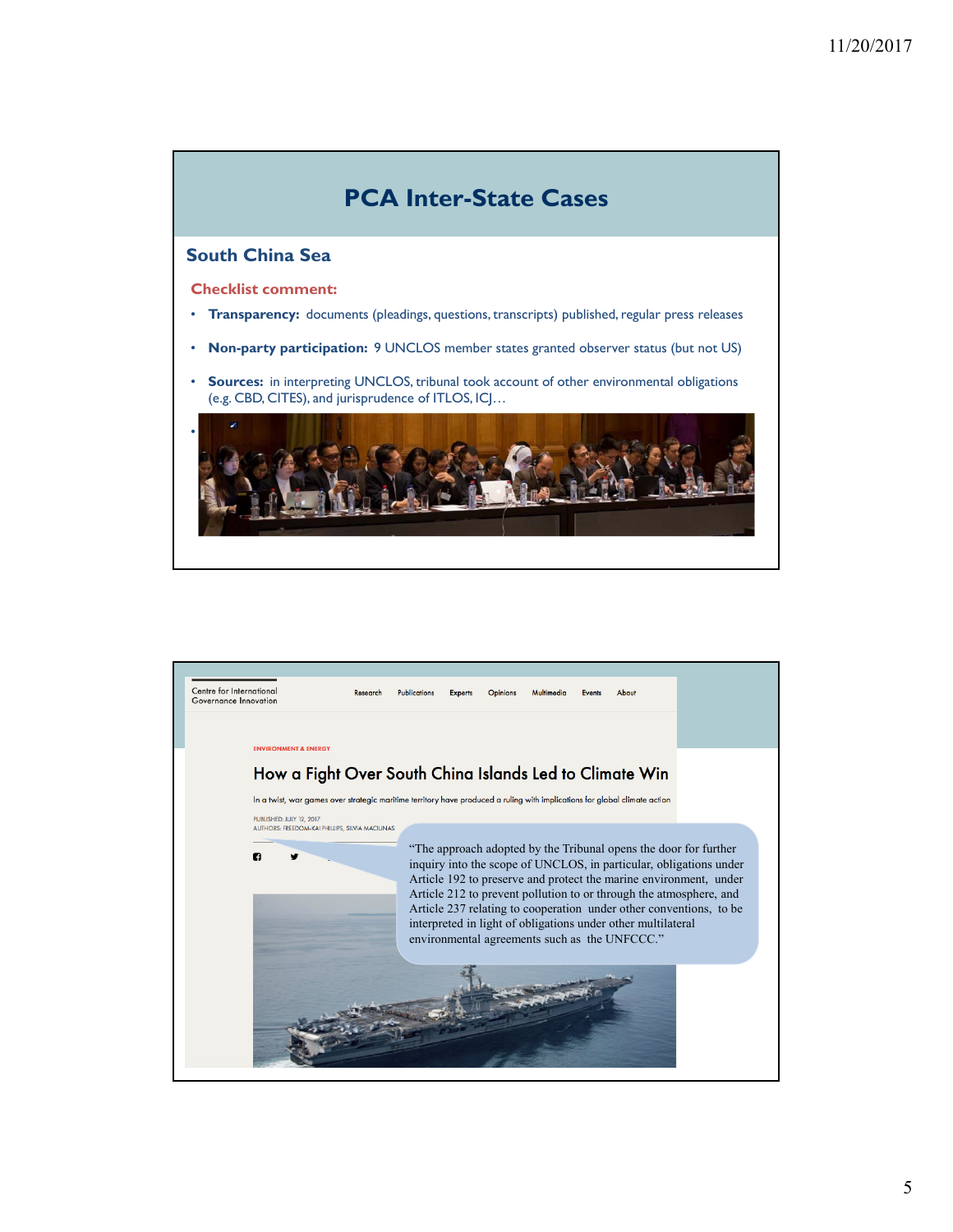

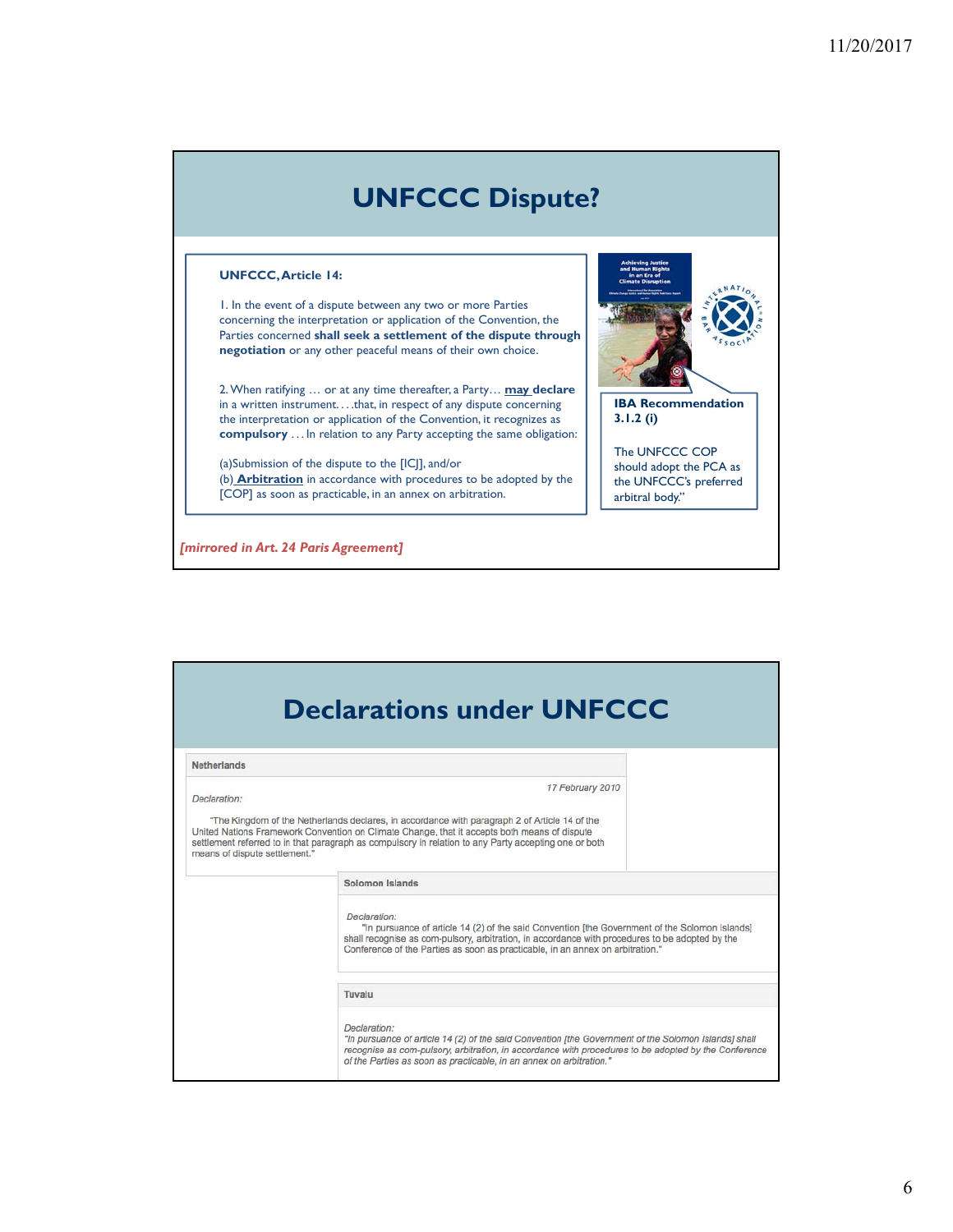# **UNFCCC Dispute?**

#### **UNFCCC, Article 14:**

1. In the event of a dispute between any two or more Parties concerning the interpretation or application of the Convention, the Parties concerned **shall seek a settlement of the dispute through negotiation** or any other peaceful means of their own choice.

2. When ratifying … or at any time thereafter, a Party… **may declare**  in a written instrument. . . .that, in respect of any dispute concerning the interpretation or application of the Convention, it recognizes as **compulsory** . . . In relation to any Party accepting the same obligation:

(a)Submission of the dispute to the [ICJ], and/or (b) **Arbitration** in accordance with procedures to be adopted by the [COP] as soon as practicable, in an annex on arbitration.

*[mirrored in Art. 24 Paris Agreement]*



**IBA Recommendation 3.1.2 (i)**

The UNFCCC COP should adopt the PCA as the UNFCCC's preferred arbitral body."

| <b>Declarations under UNFCCC</b>              |                                                                                                                                                                                                                                                                                                                            |
|-----------------------------------------------|----------------------------------------------------------------------------------------------------------------------------------------------------------------------------------------------------------------------------------------------------------------------------------------------------------------------------|
| <b>Netherlands</b>                            |                                                                                                                                                                                                                                                                                                                            |
| Declaration:<br>means of dispute settlement." | 17 February 2010<br>"The Kingdom of the Netherlands declares, in accordance with paragraph 2 of Article 14 of the<br>United Nations Framework Convention on Climate Change, that it accepts both means of dispute<br>settlement referred to in that paragraph as compulsory in relation to any Party accepting one or both |
|                                               | Solomon Islands                                                                                                                                                                                                                                                                                                            |
|                                               | Declaration:<br>"In pursuance of article 14 (2) of the said Convention [the Government of the Solomon Islands]<br>shall recognise as com-pulsory, arbitration, in accordance with procedures to be adopted by the<br>Conference of the Parties as soon as practicable, in an annex on arbitration."                        |
|                                               | Tuvalu                                                                                                                                                                                                                                                                                                                     |
|                                               | Declaration:<br>"In pursuance of article 14 (2) of the said Convention Ithe Government of the Solomon Islands] shall<br>recognise as com-pulsory, arbitration, in accordance with procedures to be adopted by the Conference<br>of the Parties as soon as practicable, in an annex on arbitration."                        |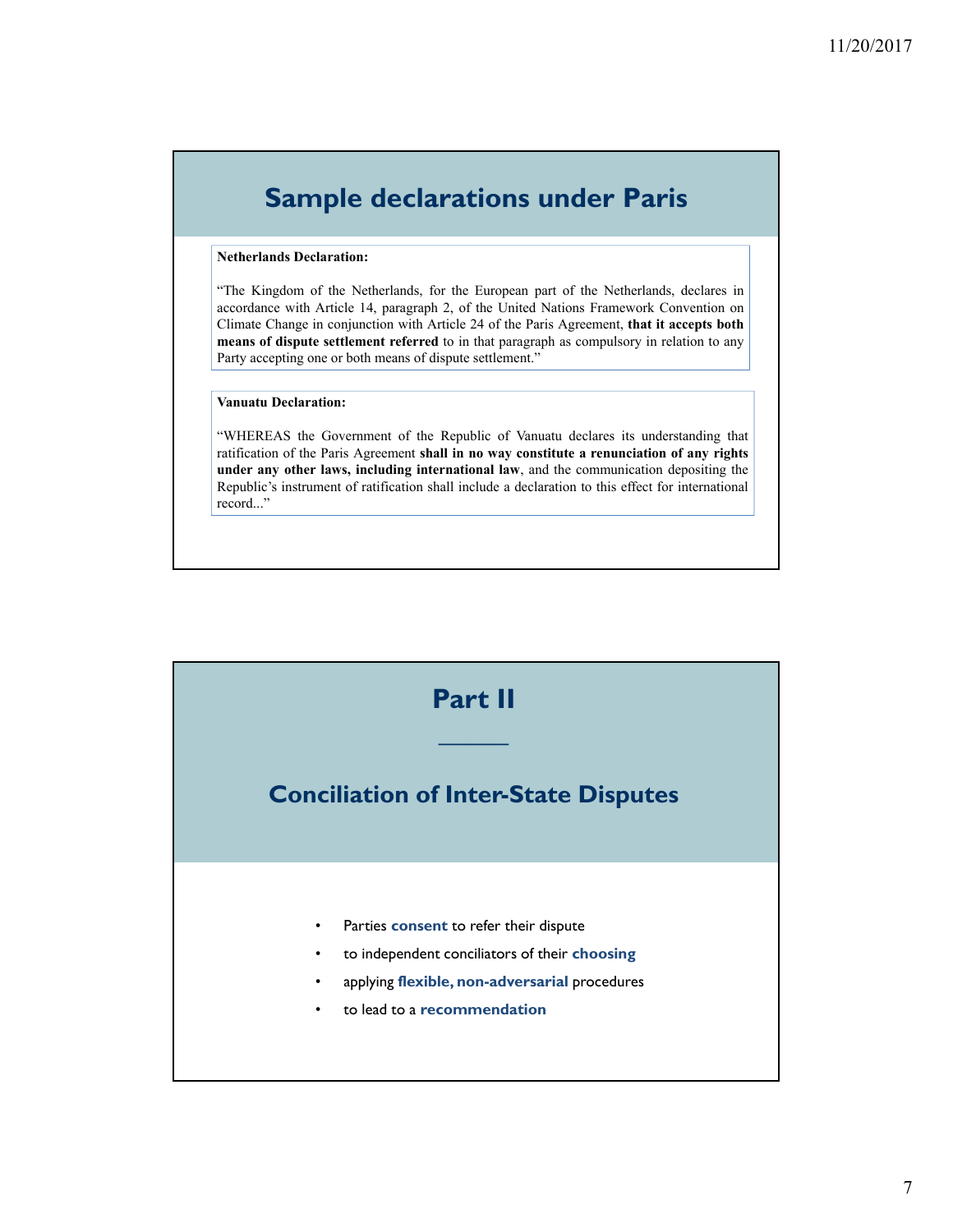# **Sample declarations under Paris**

#### **Netherlands Declaration:**

"The Kingdom of the Netherlands, for the European part of the Netherlands, declares in accordance with Article 14, paragraph 2, of the United Nations Framework Convention on Climate Change in conjunction with Article 24 of the Paris Agreement, **that it accepts both means of dispute settlement referred** to in that paragraph as compulsory in relation to any Party accepting one or both means of dispute settlement."

#### **Vanuatu Declaration:**

"WHEREAS the Government of the Republic of Vanuatu declares its understanding that ratification of the Paris Agreement **shall in no way constitute a renunciation of any rights under any other laws, including international law**, and the communication depositing the Republic's instrument of ratification shall include a declaration to this effect for international record..."

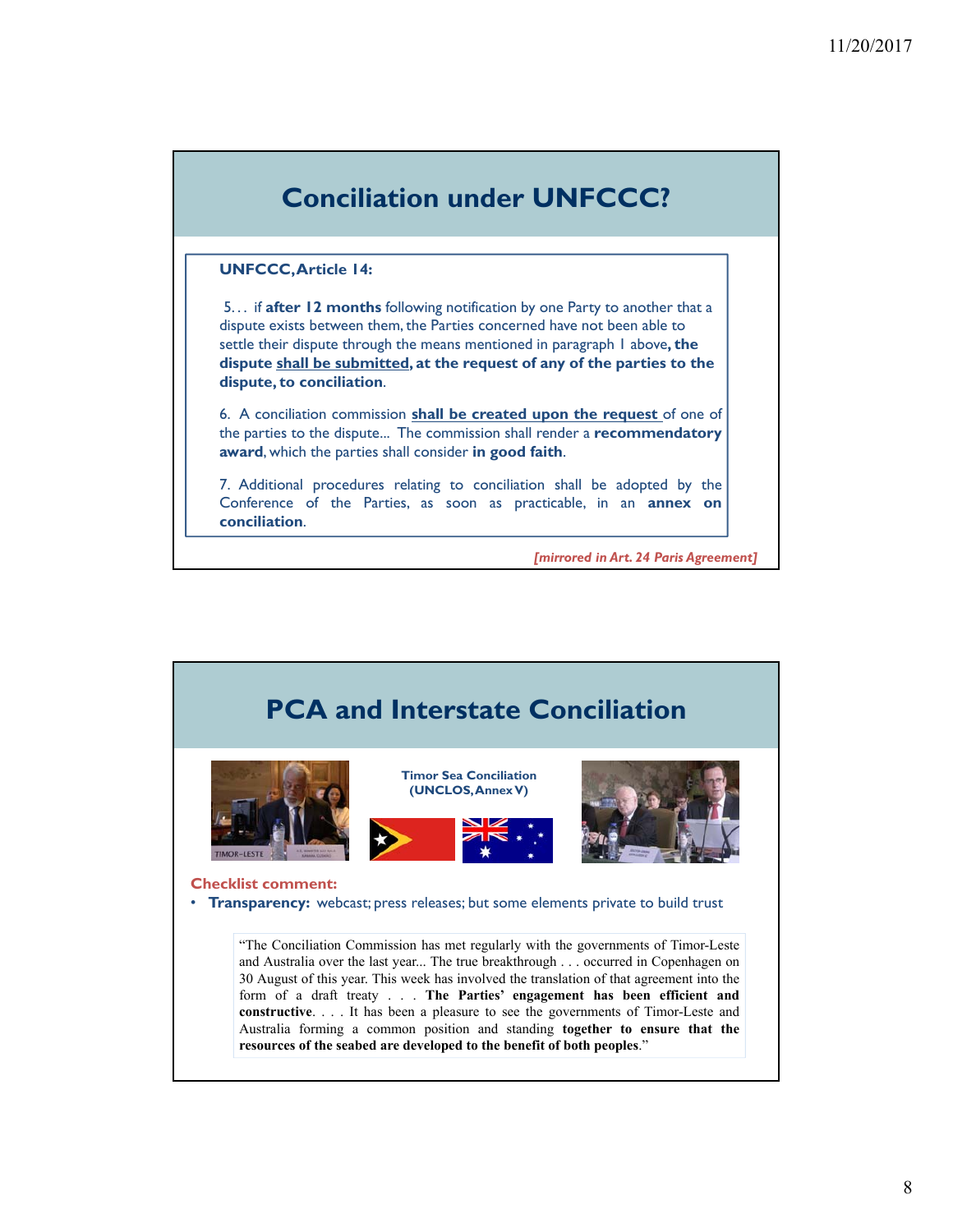

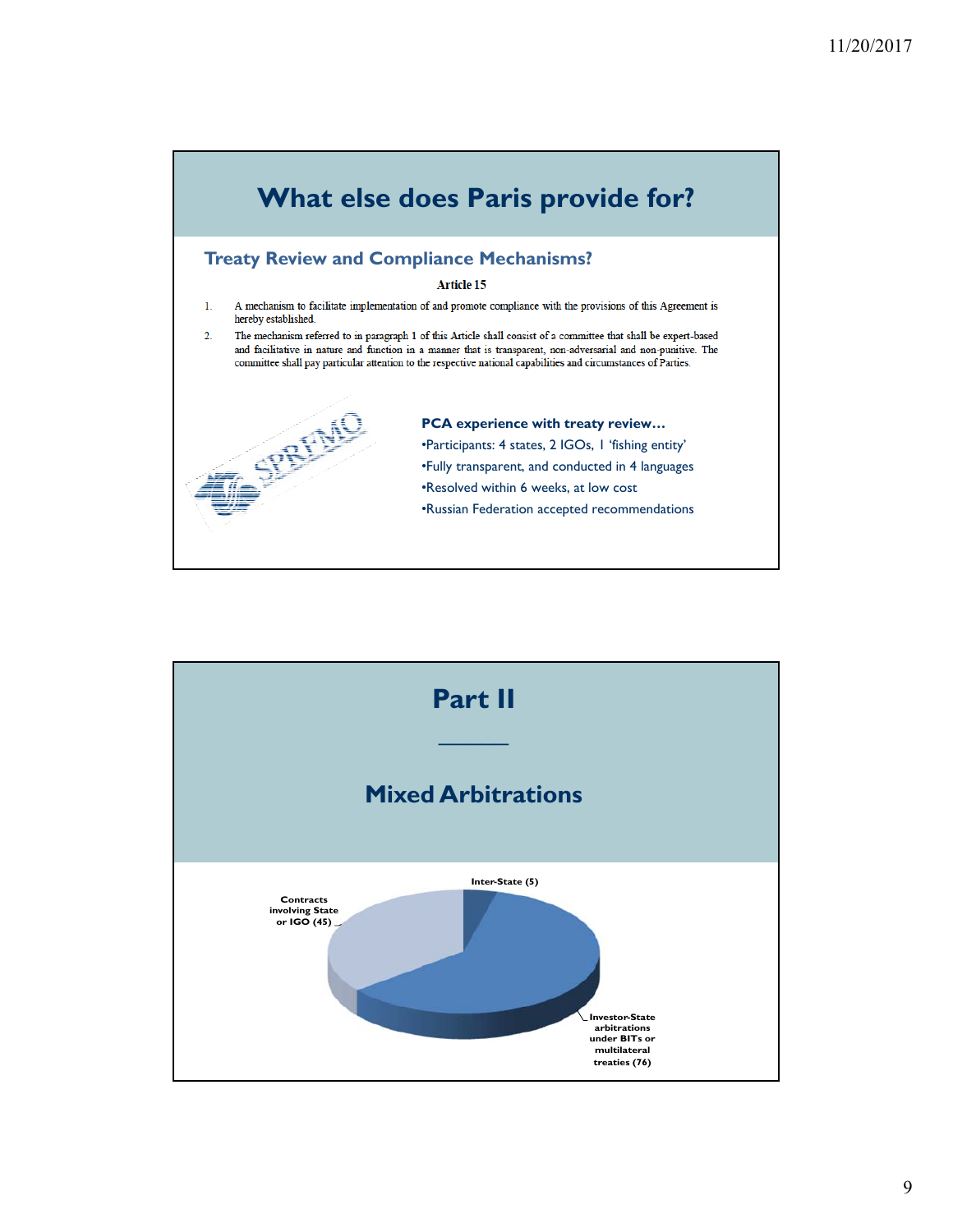

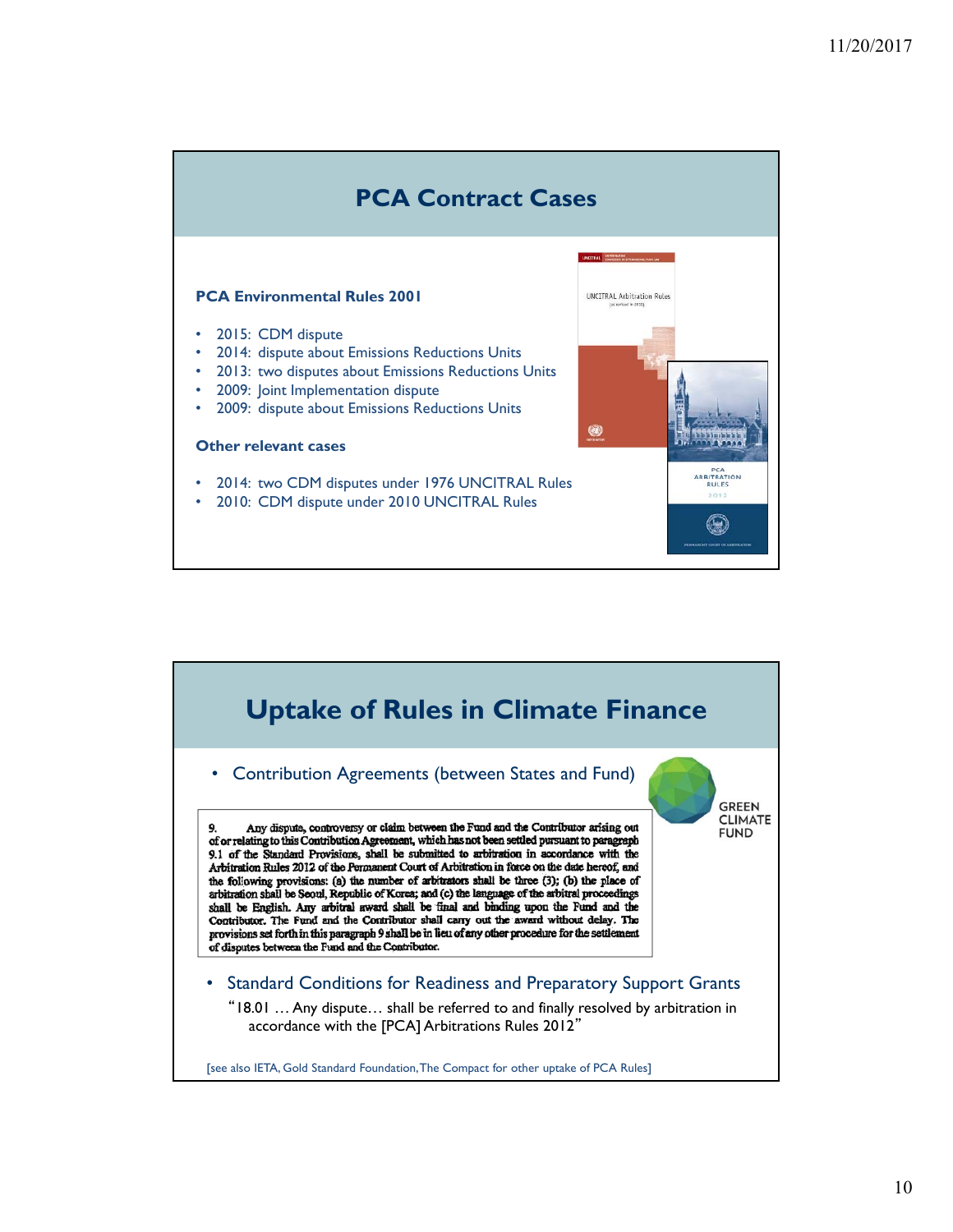# **PCA Contract Cases**

**UNCITRAL Arbitration Rules** 

 $\mathbb{Q}$ 

#### **PCA Environmental Rules 2001**

- 2015: CDM dispute
- 2014: dispute about Emissions Reductions Units
- 2013: two disputes about Emissions Reductions Units
- 2009: Joint Implementation dispute
- 2009: dispute about Emissions Reductions Units

#### **Other relevant cases**

- 2014: two CDM disputes under 1976 UNCITRAL Rules
- 2010: CDM dispute under 2010 UNCITRAL Rules